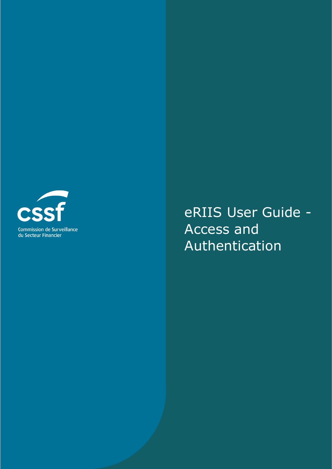

eRIIS User Guide - Access and Authentication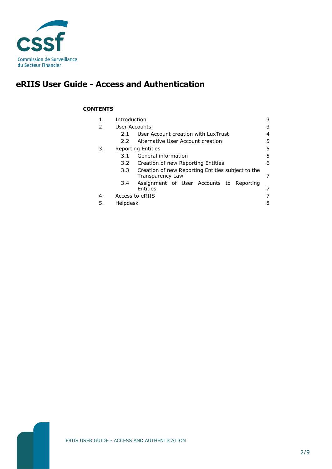

# **eRIIS User Guide - Access and Authentication**

### **CONTENTS**

| 1. | Introduction              | 3                                                                     |    |  |
|----|---------------------------|-----------------------------------------------------------------------|----|--|
| 2. | User Accounts             |                                                                       |    |  |
|    | 2.1                       | User Account creation with LuxTrust                                   | 4  |  |
|    | $2.2^{\circ}$             | Alternative User Account creation                                     | 5. |  |
| 3. | <b>Reporting Entities</b> |                                                                       |    |  |
|    | 3.1                       | General information                                                   | 5  |  |
|    | $3.2^{\circ}$             | Creation of new Reporting Entities                                    | 6  |  |
|    | 3.3                       | Creation of new Reporting Entities subject to the<br>Transparency Law |    |  |
|    | 3.4                       | Assignment of User Accounts to Reporting<br>Entities                  |    |  |
| 4. | Access to eRIIS           |                                                                       |    |  |
| 5. | Helpdesk<br>8             |                                                                       |    |  |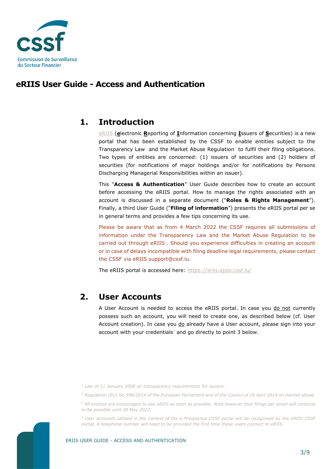

### **eRIIS User Guide - Access and Authentication**

## <span id="page-2-0"></span>**1. Introduction**

[eRIIS](https://eriis.apps.cssf.lu/) (**e**lectronic **R**eporting of **I**nformation concerning **I**ssuers of **S**ecurities) is a new portal that has been established by the CSSF to enable entities subject to the Transparency Law<sup>1</sup> and the Market Abuse Regulation<sup>2</sup> to fulfil their filing obligations. Two types of entities are concerned: (1) issuers of securities and (2) holders of securities (for notifications of major holdings and/or for notifications by Persons Discharging Managerial Responsibilities within an issuer).

This "**Access & Authentication**" User Guide describes how to create an account before accessing the eRIIS portal. How to manage the rights associated with an account is discussed in a separate document ("**Roles & Rights Management**"). Finally, a third User Guide ("**Filing of information**") presents the eRIIS portal per se in general terms and provides a few tips concerning its use.

Please be aware that as from 4 March 2022 the CSSF requires all submissions of information under the Transparency Law and the Market Abuse Regulation to be carried out through eRIIS<sup>3</sup>. Should you experience difficulties in creating an account or in case of delays incompatible with filing deadline legal requirements, please contact the CSSF via eRIIS.support@cssf.lu.

<span id="page-2-1"></span>The eRIIS portal is accessed here:<https://eriis.apps.cssf.lu/>

### **2. User Accounts**

A User Account is needed to access the eRIIS portal. In case you do not currently possess such an account, you will need to create one, as described below (cf. User Account creation). In case you do already have a User account, please sign into your account with your credentials<sup>4</sup> and go directly to point 3 below.

*<sup>1</sup> Law of 11 January 2008 on transparency requirements for issuers.*

*<sup>3</sup> All entities are encouraged to use eRIIS as soon as possible. Note however that filings per email will continue to be possible until 30 May 2022.*

*<sup>4</sup> User Accounts utilised in the context of the e-Prospectus CSSF portal will be recognised by the eRIIS CSSF portal. A telephone number will need to be provided the first time these users connect to eRIIS.*



*<sup>2</sup> Regulation (EU) No 596/2014 of the European Parliament and of the Council of 16 April 2014 on market abuse.*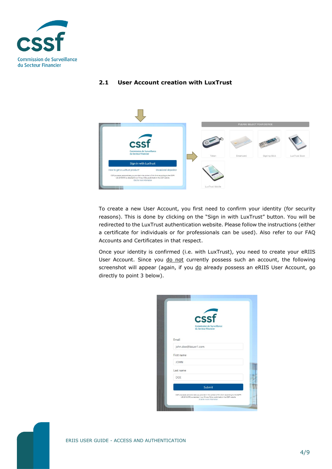

### <span id="page-3-0"></span>**2.1 User Account creation with LuxTrust**



To create a new User Account, you first need to confirm your identity (for security reasons). This is done by clicking on the "Sign in with LuxTrust" button. You will be redirected to the LuxTrust authentication website. Please follow the instructions (either a certificate for individuals or for professionals can be used). Also refer to our FAQ Accounts and Certificates in that respect.

Once your identity is confirmed (i.e. with LuxTrust), you need to create your eRIIS User Account. Since you do not currently possess such an account, the following screenshot will appear (again, if you do already possess an eRIIS User Account, go directly to point 3 below).

|                      | cssf                                                                                                                                                                         |
|----------------------|------------------------------------------------------------------------------------------------------------------------------------------------------------------------------|
|                      | <b>Commission de Surveillance</b><br>du Secteur Financier                                                                                                                    |
| Email                |                                                                                                                                                                              |
| john.doe@issuer1.com |                                                                                                                                                                              |
| First name           |                                                                                                                                                                              |
| <b>JOHN</b>          |                                                                                                                                                                              |
| Last name            |                                                                                                                                                                              |
| DOE                  |                                                                                                                                                                              |
|                      | Submit                                                                                                                                                                       |
|                      | CSSF processes personal data you provide in the context of this form according to the GDPR-<br>(UE 2016/679) as detailed in our Privacy Policy published on the CSSF website |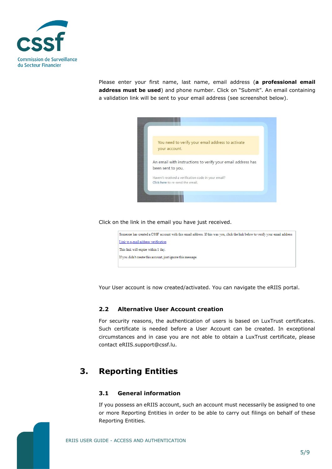

Please enter your first name, last name, email address (**a professional email address must be used**) and phone number. Click on "Submit". An email containing a validation link will be sent to your email address (see screenshot below).



Click on the link in the email you have just received.

| Someone has created a CSSF account with this email address. If this was you, click the link below to verify your email address |
|--------------------------------------------------------------------------------------------------------------------------------|
| Link to e-mail address verification                                                                                            |
| This link will expire within 1 day.                                                                                            |
| If you didn't create this account, just ignore this message.                                                                   |
|                                                                                                                                |

Your User account is now created/activated. You can navigate the eRIIS portal.

### <span id="page-4-0"></span>**2.2 Alternative User Account creation**

For security reasons, the authentication of users is based on LuxTrust certificates. Such certificate is needed before a User Account can be created. In exceptional circumstances and in case you are not able to obtain a LuxTrust certificate, please contact eRIIS.support@cssf.lu.

# <span id="page-4-1"></span>**3. Reporting Entities**

### <span id="page-4-2"></span>**3.1 General information**

If you possess an eRIIS account, such an account must necessarily be assigned to one or more Reporting Entities in order to be able to carry out filings on behalf of these Reporting Entities.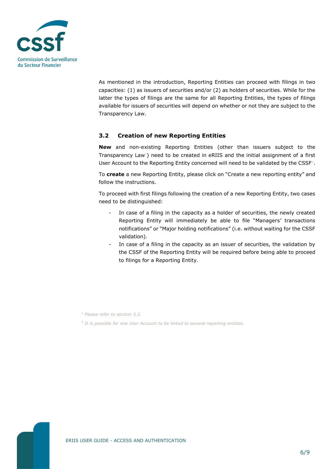

As mentioned in the introduction, Reporting Entities can proceed with filings in two capacities: (1) as issuers of securities and/or (2) as holders of securities. While for the latter the types of filings are the same for all Reporting Entities, the types of filings available for issuers of securities will depend on whether or not they are subject to the Transparency Law.

### <span id="page-5-0"></span>**3.2 Creation of new Reporting Entities**

**New** and non-existing Reporting Entities (other than issuers subject to the Transparency  $Law^1$ ) need to be created in eRIIS and the initial assignment of a first User Account to the Reporting Entity concerned will need to be validated by the CSSF<sup>2</sup>.

To **create** a new Reporting Entity, please click on "Create a new reporting entity" and follow the instructions.

To proceed with first filings following the creation of a new Reporting Entity, two cases need to be distinguished:

- In case of a filing in the capacity as a holder of securities, the newly created Reporting Entity will immediately be able to file "Managers' transactions notifications" or "Major holding notifications" (i.e. without waiting for the CSSF validation).
- In case of a filing in the capacity as an issuer of securities, the validation by the CSSF of the Reporting Entity will be required before being able to proceed to filings for a Reporting Entity.

*2 It is possible for one User Account to be linked to several reporting entities.* 

*<sup>1</sup> Please refer to section 3.3.*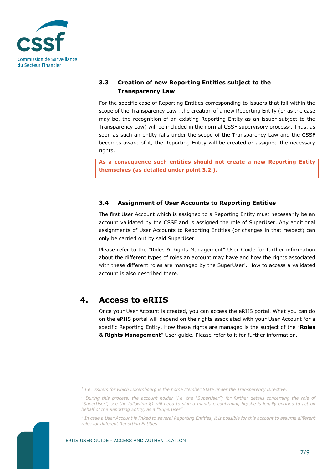

### <span id="page-6-0"></span>**3.3 Creation of new Reporting Entities subject to the Transparency Law**

For the specific case of Reporting Entities corresponding to issuers that fall within the scope of the Transparency Law<sup>1</sup>, the creation of a new Reporting Entity (or as the case may be, the recognition of an existing Reporting Entity as an issuer subject to the Transparency Law) will be included in the normal CSSF supervisory process<sup>2</sup>. Thus, as soon as such an entity falls under the scope of the Transparency Law and the CSSF becomes aware of it, the Reporting Entity will be created or assigned the necessary rights.

**As a consequence such entities should not create a new Reporting Entity themselves (as detailed under point 3.2.).**

### <span id="page-6-1"></span>**3.4 Assignment of User Accounts to Reporting Entities**

The first User Account which is assigned to a Reporting Entity must necessarily be an account validated by the CSSF and is assigned the role of SuperUser. Any additional assignments of User Accounts to Reporting Entities (or changes in that respect) can only be carried out by said SuperUser.

Please refer to the "Roles & Rights Management" User Guide for further information about the different types of roles an account may have and how the rights associated with these different roles are managed by the SuperUser $3$ . How to access a validated account is also described there.

## <span id="page-6-2"></span>**4. Access to eRIIS**

Once your User Account is created, you can access the eRIIS portal. What you can do on the eRIIS portal will depend on the rights associated with your User Account for a specific Reporting Entity. How these rights are managed is the subject of the "**Roles & Rights Management**" User guide. Please refer to it for further information.

*3 In case a User Account is linked to several Reporting Entities, it is possible for this account to assume different roles for different Reporting Entities.* 



*<sup>1</sup> I.e. issuers for which Luxembourg is the home Member State under the Transparency Directive.*

*<sup>2</sup> During this process, the account holder (i.e. the "SuperUser"; for further details concerning the role of "SuperUser", see the following §) will need to sign a mandate confirming he/she is legally entitled to act on behalf of the Reporting Entity, as a "SuperUser".*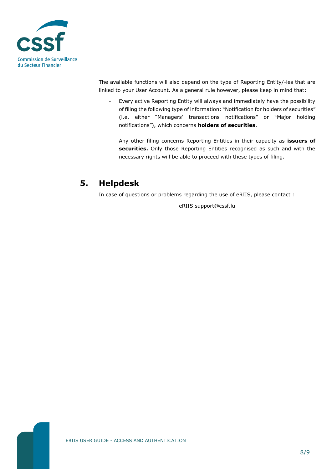

The available functions will also depend on the type of Reporting Entity/-ies that are linked to your User Account. As a general rule however, please keep in mind that:

- Every active Reporting Entity will always and immediately have the possibility of filing the following type of information: "Notification for holders of securities" (i.e. either "Managers' transactions notifications" or "Major holding notifications"), which concerns **holders of securities**.
- Any other filing concerns Reporting Entities in their capacity as **issuers of securities.** Only those Reporting Entities recognised as such and with the necessary rights will be able to proceed with these types of filing.

# <span id="page-7-0"></span>**5. Helpdesk**

In case of questions or problems regarding the use of eRIIS, please contact :

eRIIS.support@cssf.lu